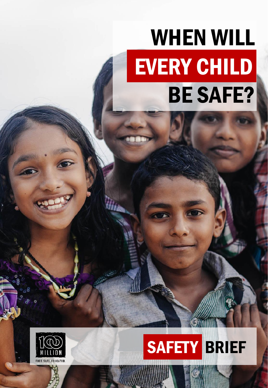# WHEN WILL EVERY CHILD BE SAFE?



## SAFETY BRIEF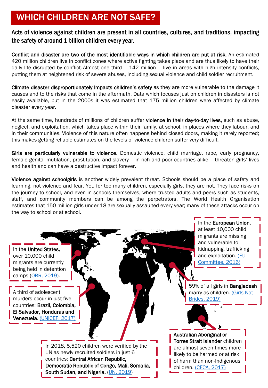## WHICH CHILDREN ARE NOT SAFE?

Acts of violence against children are present in all countries, cultures, and traditions, impacting the safety of around 1 billion children every year.

Conflict and disaster are two of the most identifiable ways in which children are put at risk. An estimated 420 million children live in conflict zones where active fighting takes place and are thus likely to have their daily life disrupted by conflict. Almost one third – 142 million – live in areas with high intensity conflicts, putting them at heightened risk of severe abuses, including sexual violence and child soldier recruitment.

Climate disaster disproportionately impacts children's safety as they are more vulnerable to the damage it causes and to the risks that come in the aftermath. Data which focuses just on children in disasters is not easily available, but in the 2000s it was estimated that 175 million children were affected by climate disaster every year.

At the same time, hundreds of millions of children suffer violence in their day-to-day lives, such as abuse, neglect, and exploitation, which takes place within their family, at school, in places where they labour, and in their communities. Violence of this nature often happens behind closed doors, making it rarely reported; this makes getting reliable estimates on the levels of violence children suffer very difficult.

Girls are particularly vulnerable to violence. Domestic violence, child marriage, rape, early pregnancy, female genital mutilation, prostitution, and slavery – in rich and poor countries alike – threaten girls' lives and health and can have a destructive impact forever.

Violence against schoolgirls is another widely prevalent threat. Schools should be a place of safety and learning, not violence and fear. Yet, for too many children, especially girls, they are not. They face risks on the journey to school, and even in schools themselves, where trusted adults and peers such as students, staff, and community members can be among the perpetrators. The World Health Organisation estimates that 150 million girls under 18 are sexually assaulted every year; many of these attacks occur on the way to school or at school.

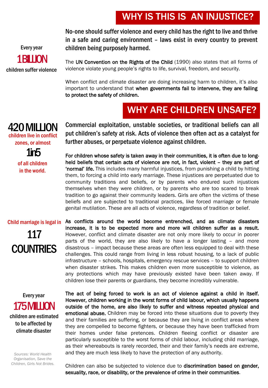## WHY IS THIS IS AN INJUSTICE?

No-one should suffer violence and every child has the right to live and thrive in a safe and caring environment – laws exist in every country to prevent children being purposely harmed.

The UN Convention on the Rights of the Child (1990) also states that all forms of violence violate young people's rights to life, survival, freedom, and security.

When conflict and climate disaster are doing increasing harm to children, it's also important to understand that when governments fail to intervene, they are failing to protect the safety of children.

## WHY ARE CHILDREN UNSAFE?

Commercial exploitation, unstable societies, or traditional beliefs can all put children's safety at risk. Acts of violence then often act as a catalyst for further abuses, or perpetuate violence against children. 420 MILLION children live in conflict zones, or almost

1in5

of all children in the world.

For children whose safety is taken away in their communities, it is often due to longheld beliefs that certain acts of violence are not, in fact, violent – they are part of 'normal' life. This includes many harmful injustices, from punishing a child by hitting them, to forcing a child into early marriage. These injustices are perpetuated due to community traditions and beliefs, or by parents who endured such injustices themselves when they were children, or by parents who are too scared to break tradition to go against their community leaders. Girls are often the victims of these beliefs and are subjected to traditional practices, like forced marriage or female

genital mutilation. These are all acts of violence, regardless of tradition or belief.

Child marriage is legal in As conflicts around the world become entrenched, and as climate disasters increase, it is to be expected more and more will children suffer as a result. However, conflict and climate disaster are not only more likely to occur in poorer parts of the world, they are also likely to have a longer lasting – and more disastrous – impact because these areas are often less equipped to deal with these challenges. This could range from living in less robust housing, to a lack of public infrastructure – schools, hospitals, emergency rescue services – to support children when disaster strikes. This makes children even more susceptible to violence, as any protections which may have previously existed have been taken away. If children lose their parents or guardians, they become incredibly vulnerable. 117 **COUNTRIES** 

children are estimated to be affected by climate disaster Every year 175 MILLION

*Sources: World Health Organisation, Save the Children, Girls Not Brides.* The act of being forced to work is an act of violence against a child in itself. However, children working in the worst forms of child labour, which usually happens outside of the home, are also likely to suffer and witness repeated physical and emotional abuse. Children may be forced into these situations due to poverty they and their families are suffering, or because they are living in conflict areas where they are compelled to become fighters, or because they have been trafficked from their homes under false pretences. Children fleeing conflict or disaster are particularly susceptible to the worst forms of child labour, including child marriage, as their whereabouts is rarely recorded, their and their family's needs are extreme, and they are much less likely to have the protection of any authority.

Children can also be subjected to violence due to discrimination based on gender, sexuality, race, or disability, or the prevalence of crime in their communities.

Every year **1BILION** 

children suffer violence